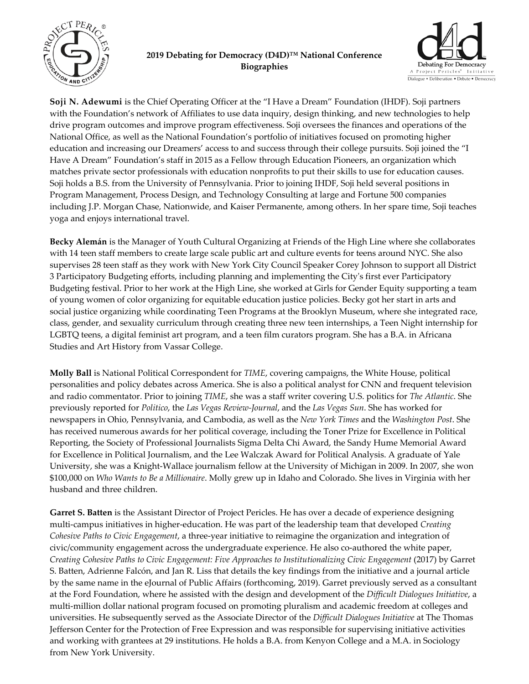

## **2019 Debating for Democracy (D4D)™ National Conference Biographies**



**Soji N. Adewumi** is the Chief Operating Officer at the "I Have a Dream" Foundation (IHDF). Soji partners with the Foundation's network of Affiliates to use data inquiry, design thinking, and new technologies to help drive program outcomes and improve program effectiveness. Soji oversees the finances and operations of the National Office, as well as the National Foundation's portfolio of initiatives focused on promoting higher education and increasing our Dreamers' access to and success through their college pursuits. Soji joined the "I Have A Dream" Foundation's staff in 2015 as a Fellow through Education Pioneers, an organization which matches private sector professionals with education nonprofits to put their skills to use for education causes. Soji holds a B.S. from the University of Pennsylvania. Prior to joining IHDF, Soji held several positions in Program Management, Process Design, and Technology Consulting at large and Fortune 500 companies including J.P. Morgan Chase, Nationwide, and Kaiser Permanente, among others. In her spare time, Soji teaches yoga and enjoys international travel.

**Becky Alemán** is the Manager of Youth Cultural Organizing at Friends of the High Line where she collaborates with 14 teen staff members to create large scale public art and culture events for teens around NYC. She also supervises 28 teen staff as they work with New York City Council Speaker Corey Johnson to support all District 3 Participatory Budgeting efforts, including planning and implementing the Cityʹs first ever Participatory Budgeting festival. Prior to her work at the High Line, she worked at Girls for Gender Equity supporting a team of young women of color organizing for equitable education justice policies. Becky got her start in arts and social justice organizing while coordinating Teen Programs at the Brooklyn Museum, where she integrated race, class, gender, and sexuality curriculum through creating three new teen internships, a Teen Night internship for LGBTQ teens, a digital feminist art program, and a teen film curators program. She has a B.A. in Africana Studies and Art History from Vassar College.

**Molly Ball** is National Political Correspondent for *TIME*, covering campaigns, the White House, political personalities and policy debates across America. She is also a political analyst for CNN and frequent television and radio commentator. Prior to joining *TIME*, she was a staff writer covering U.S. politics for *The Atlantic*. She previously reported for *Politico*, the *Las Vegas Review‐Journal*, and the *Las Vegas Sun*. She has worked for newspapers in Ohio, Pennsylvania, and Cambodia, as well as the *New York Times* and the *Washington Post*. She has received numerous awards for her political coverage, including the Toner Prize for Excellence in Political Reporting, the Society of Professional Journalists Sigma Delta Chi Award, the Sandy Hume Memorial Award for Excellence in Political Journalism, and the Lee Walczak Award for Political Analysis. A graduate of Yale University, she was a Knight‐Wallace journalism fellow at the University of Michigan in 2009. In 2007, she won \$100,000 on *Who Wants to Be a Millionaire*. Molly grew up in Idaho and Colorado. She lives in Virginia with her husband and three children.

**Garret S. Batten** is the Assistant Director of Project Pericles. He has over a decade of experience designing multi‐campus initiatives in higher‐education. He was part of the leadership team that developed *Creating Cohesive Paths to Civic Engagement*, a three‐year initiative to reimagine the organization and integration of civic/community engagement across the undergraduate experience. He also co-authored the white paper, *Creating Cohesive Paths to Civic Engagement: Five Approaches to Institutionalizing Civic Engagement* (2017) by Garret S. Batten, Adrienne Falcón, and Jan R. Liss that details the key findings from the initiative and a journal article by the same name in the eJournal of Public Affairs (forthcoming, 2019). Garret previously served as a consultant at the Ford Foundation, where he assisted with the design and development of the *Difficult Dialogues Initiative*, a multi‐million dollar national program focused on promoting pluralism and academic freedom at colleges and universities. He subsequently served as the Associate Director of the *Difficult Dialogues Initiative* at The Thomas Jefferson Center for the Protection of Free Expression and was responsible for supervising initiative activities and working with grantees at 29 institutions. He holds a B.A. from Kenyon College and a M.A. in Sociology from New York University.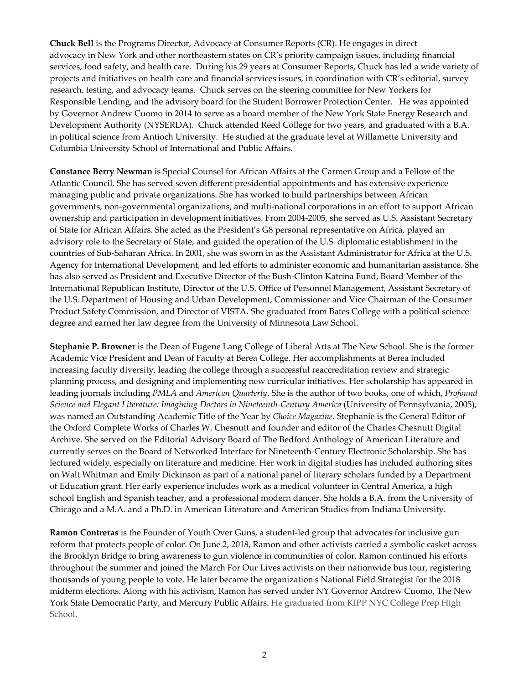**Chuck Bell** is the Programs Director, Advocacy at Consumer Reports (CR). He engages in direct advocacy in New York and other northeastern states on CR's priority campaign issues, including financial services, food safety, and health care. During his 29 years at Consumer Reports, Chuck has led a wide variety of projects and initiatives on health care and financial services issues, in coordination with CR's editorial, survey research, testing, and advocacy teams. Chuck serves on the steering committee for New Yorkers for Responsible Lending, and the advisory board for the Student Borrower Protection Center. He was appointed by Governor Andrew Cuomo in 2014 to serve as a board member of the New York State Energy Research and Development Authority (NYSERDA). Chuck attended Reed College for two years, and graduated with a B.A. in political science from Antioch University. He studied at the graduate level at Willamette University and Columbia University School of International and Public Affairs.

**Constance Berry Newman** is Special Counsel for African Affairs at the Carmen Group and a Fellow of the Atlantic Council. She has served seven different presidential appointments and has extensive experience managing public and private organizations. She has worked to build partnerships between African governments, non‐governmental organizations, and multi‐national corporations in an effort to support African ownership and participation in development initiatives. From 2004‐2005, she served as U.S. Assistant Secretary of State for African Affairs. She acted as the President's G8 personal representative on Africa, played an advisory role to the Secretary of State, and guided the operation of the U.S. diplomatic establishment in the countries of Sub‐Saharan Africa. In 2001, she was sworn in as the Assistant Administrator for Africa at the U.S. Agency for International Development, and led efforts to administer economic and humanitarian assistance. She has also served as President and Executive Director of the Bush‐Clinton Katrina Fund, Board Member of the International Republican Institute, Director of the U.S. Office of Personnel Management, Assistant Secretary of the U.S. Department of Housing and Urban Development, Commissioner and Vice Chairman of the Consumer Product Safety Commission, and Director of VISTA. She graduated from Bates College with a political science degree and earned her law degree from the University of Minnesota Law School.

**Stephanie P. Browner** is the Dean of Eugene Lang College of Liberal Arts at The New School. She is the former Academic Vice President and Dean of Faculty at Berea College. Her accomplishments at Berea included increasing faculty diversity, leading the college through a successful reaccreditation review and strategic planning process, and designing and implementing new curricular initiatives. Her scholarship has appeared in leading journals including *PMLA* and *American Quarterly*. She is the author of two books, one of which, *Profound Science and Elegant Literature: Imagining Doctors in Nineteenth‐Century America* (University of Pennsylvania, 2005), was named an Outstanding Academic Title of the Year by *Choice Magazine*. Stephanie is the General Editor of the Oxford Complete Works of Charles W. Chesnutt and founder and editor of the Charles Chesnutt Digital Archive. She served on the Editorial Advisory Board of The Bedford Anthology of American Literature and currently serves on the Board of Networked Interface for Nineteenth‐Century Electronic Scholarship. She has lectured widely, especially on literature and medicine. Her work in digital studies has included authoring sites on Walt Whitman and Emily Dickinson as part of a national panel of literary scholars funded by a Department of Education grant. Her early experience includes work as a medical volunteer in Central America, a high school English and Spanish teacher, and a professional modern dancer. She holds a B.A. from the University of Chicago and a M.A. and a Ph.D. in American Literature and American Studies from Indiana University.

**Ramon Contreras** is the Founder of Youth Over Guns, a student‐led group that advocates for inclusive gun reform that protects people of color. On June 2, 2018, Ramon and other activists carried a symbolic casket across the Brooklyn Bridge to bring awareness to gun violence in communities of color. Ramon continued his efforts throughout the summer and joined the March For Our Lives activists on their nationwide bus tour, registering thousands of young people to vote. He later became the organizationʹs National Field Strategist for the 2018 midterm elections. Along with his activism, Ramon has served under NY Governor Andrew Cuomo, The New York State Democratic Party, and Mercury Public Affairs. He graduated from KIPP NYC College Prep High School.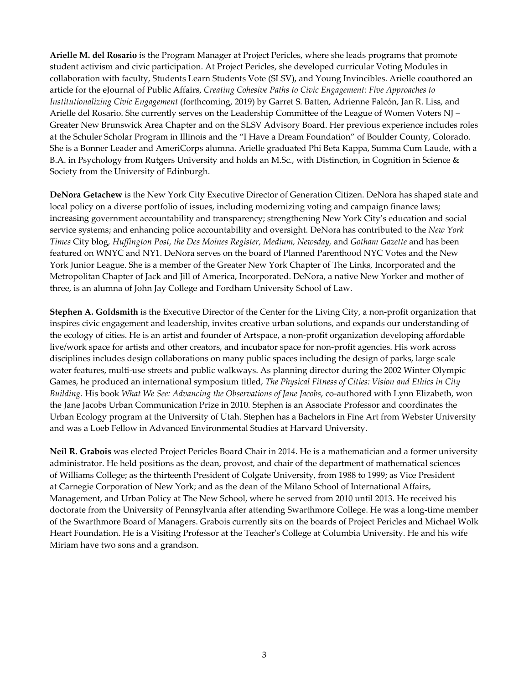**Arielle M. del Rosario** is the Program Manager at Project Pericles, where she leads programs that promote student activism and civic participation. At Project Pericles, she developed curricular Voting Modules in collaboration with faculty, Students Learn Students Vote (SLSV), and Young Invincibles. Arielle coauthored an article for the eJournal of Public Affairs, *Creating Cohesive Paths to Civic Engagement: Five Approaches to Institutionalizing Civic Engagement* (forthcoming, 2019) by Garret S. Batten, Adrienne Falcón, Jan R. Liss, and Arielle del Rosario. She currently serves on the Leadership Committee of the League of Women Voters NJ – Greater New Brunswick Area Chapter and on the SLSV Advisory Board. Her previous experience includes roles at the Schuler Scholar Program in Illinois and the "I Have a Dream Foundation" of Boulder County, Colorado. She is a Bonner Leader and AmeriCorps alumna. Arielle graduated Phi Beta Kappa, Summa Cum Laude, with a B.A. in Psychology from Rutgers University and holds an M.Sc., with Distinction, in Cognition in Science & Society from the University of Edinburgh.

**DeNora Getachew** is the New York City Executive Director of Generation Citizen. DeNora has shaped state and local policy on a diverse portfolio of issues, including modernizing voting and campaign finance laws; increasing government accountability and transparency; strengthening New York City's education and social service systems; and enhancing police accountability and oversight. DeNora has contributed to the *New York Times* City blog*, Huffington Post, the Des Moines Register, Medium, Newsday,* and *Gotham Gazette* and has been featured on WNYC and NY1. DeNora serves on the board of Planned Parenthood NYC Votes and the New York Junior League. She is a member of the Greater New York Chapter of The Links, Incorporated and the Metropolitan Chapter of Jack and Jill of America, Incorporated. DeNora, a native New Yorker and mother of three, is an alumna of John Jay College and Fordham University School of Law.

**Stephen A. Goldsmith** is the Executive Director of the Center for the Living City, a non-profit organization that inspires civic engagement and leadership, invites creative urban solutions, and expands our understanding of the ecology of cities. He is an artist and founder of Artspace, a non‐profit organization developing affordable live/work space for artists and other creators, and incubator space for non‐profit agencies. His work across disciplines includes design collaborations on many public spaces including the design of parks, large scale water features, multi-use streets and public walkways. As planning director during the 2002 Winter Olympic Games, he produced an international symposium titled, *The Physical Fitness of Cities: Vision and Ethics in City Building.* His book *What We See: Advancing the Observations of Jane Jacobs*, co‐authored with Lynn Elizabeth, won the Jane Jacobs Urban Communication Prize in 2010. Stephen is an Associate Professor and coordinates the Urban Ecology program at the University of Utah. Stephen has a Bachelors in Fine Art from Webster University and was a Loeb Fellow in Advanced Environmental Studies at Harvard University.

**Neil R. Grabois** was elected Project Pericles Board Chair in 2014. He is a mathematician and a former university administrator. He held positions as the dean, provost, and chair of the department of mathematical sciences of Williams College; as the thirteenth President of Colgate University, from 1988 to 1999; as Vice President at Carnegie Corporation of New York; and as the dean of the Milano School of International Affairs, Management, and Urban Policy at The New School, where he served from 2010 until 2013. He received his doctorate from the University of Pennsylvania after attending Swarthmore College. He was a long-time member of the Swarthmore Board of Managers. Grabois currently sits on the boards of Project Pericles and Michael Wolk Heart Foundation. He is a Visiting Professor at the Teacherʹs College at Columbia University. He and his wife Miriam have two sons and a grandson.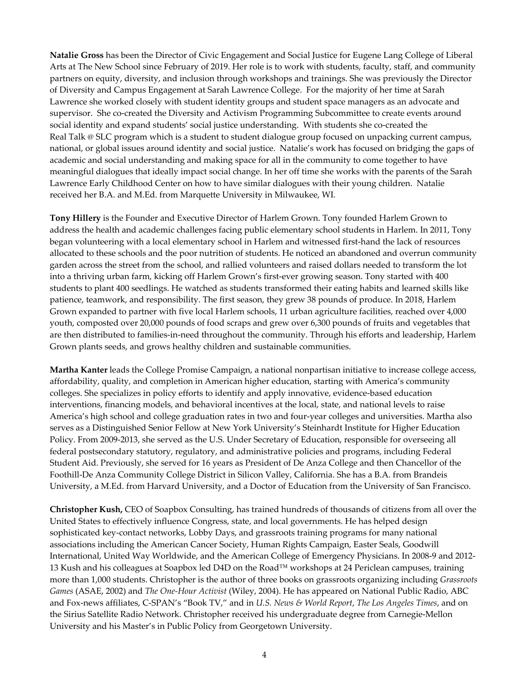**Natalie Gross** has been the Director of Civic Engagement and Social Justice for Eugene Lang College of Liberal Arts at The New School since February of 2019. Her role is to work with students, faculty, staff, and community partners on equity, diversity, and inclusion through workshops and trainings. She was previously the Director of Diversity and Campus Engagement at Sarah Lawrence College. For the majority of her time at Sarah Lawrence she worked closely with student identity groups and student space managers as an advocate and supervisor. She co-created the Diversity and Activism Programming Subcommittee to create events around social identity and expand students' social justice understanding. With students she co-created the Real Talk @ SLC program which is a student to student dialogue group focused on unpacking current campus, national, or global issues around identity and social justice. Natalie's work has focused on bridging the gaps of academic and social understanding and making space for all in the community to come together to have meaningful dialogues that ideally impact social change. In her off time she works with the parents of the Sarah Lawrence Early Childhood Center on how to have similar dialogues with their young children. Natalie received her B.A. and M.Ed. from Marquette University in Milwaukee, WI.

**Tony Hillery** is the Founder and Executive Director of Harlem Grown. Tony founded Harlem Grown to address the health and academic challenges facing public elementary school students in Harlem. In 2011, Tony began volunteering with a local elementary school in Harlem and witnessed first-hand the lack of resources allocated to these schools and the poor nutrition of students. He noticed an abandoned and overrun community garden across the street from the school, and rallied volunteers and raised dollars needed to transform the lot into a thriving urban farm, kicking off Harlem Grown's first-ever growing season. Tony started with 400 students to plant 400 seedlings. He watched as students transformed their eating habits and learned skills like patience, teamwork, and responsibility. The first season, they grew 38 pounds of produce. In 2018, Harlem Grown expanded to partner with five local Harlem schools, 11 urban agriculture facilities, reached over 4,000 youth, composted over 20,000 pounds of food scraps and grew over 6,300 pounds of fruits and vegetables that are then distributed to families‐in‐need throughout the community. Through his efforts and leadership, Harlem Grown plants seeds, and grows healthy children and sustainable communities.

**Martha Kanter** leads the College Promise Campaign, a national nonpartisan initiative to increase college access, affordability, quality, and completion in American higher education, starting with America's community colleges. She specializes in policy efforts to identify and apply innovative, evidence‐based education interventions, financing models, and behavioral incentives at the local, state, and national levels to raise America's high school and college graduation rates in two and four‐year colleges and universities. Martha also serves as a Distinguished Senior Fellow at New York University's Steinhardt Institute for Higher Education Policy. From 2009‐2013, she served as the U.S. Under Secretary of Education, responsible for overseeing all federal postsecondary statutory, regulatory, and administrative policies and programs, including Federal Student Aid. Previously, she served for 16 years as President of De Anza College and then Chancellor of the Foothill‐De Anza Community College District in Silicon Valley, California. She has a B.A. from Brandeis University, a M.Ed. from Harvard University, and a Doctor of Education from the University of San Francisco.

**Christopher Kush,** CEO of Soapbox Consulting, has trained hundreds of thousands of citizens from all over the United States to effectively influence Congress, state, and local governments. He has helped design sophisticated key-contact networks, Lobby Days, and grassroots training programs for many national associations including the American Cancer Society, Human Rights Campaign, Easter Seals, Goodwill International, United Way Worldwide, and the American College of Emergency Physicians. In 2008‐9 and 2012‐ 13 Kush and his colleagues at Soapbox led D4D on the Road™ workshops at 24 Periclean campuses, training more than 1,000 students. Christopher is the author of three books on grassroots organizing including *Grassroots Games* (ASAE, 2002) and *The One‐Hour Activist* (Wiley, 2004). He has appeared on National Public Radio, ABC and Fox‐news affiliates, C‐SPAN's "Book TV," and in *U.S. News & World Report*, *The Los Angeles Times*, and on the Sirius Satellite Radio Network. Christopher received his undergraduate degree from Carnegie‐Mellon University and his Master's in Public Policy from Georgetown University.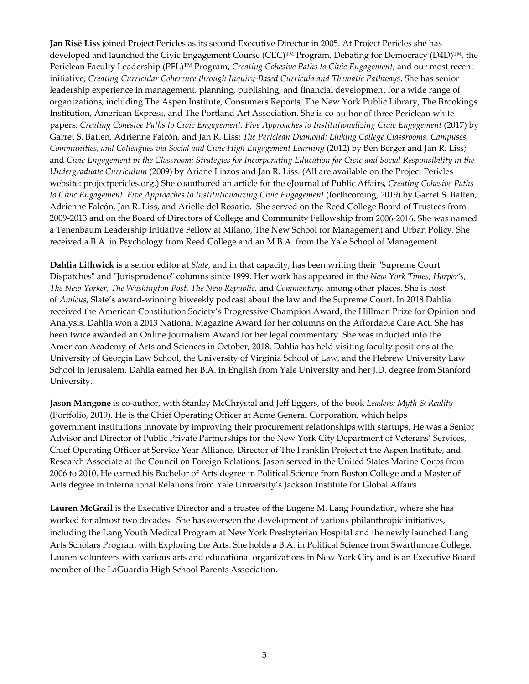**Jan Risë Liss** joined Project Pericles as its second Executive Director in 2005. At Project Pericles she has developed and launched the Civic Engagement Course (CEC)™ Program, Debating for Democracy (D4D)™, the Periclean Faculty Leadership (PFL)™ Program, *Creating Cohesive Paths to Civic Engagement*, and our most recent initiative, *Creating Curricular Coherence through Inquiry‐Based Curricula and Thematic Pathways*. She has senior leadership experience in management, planning, publishing, and financial development for a wide range of organizations, including The Aspen Institute, Consumers Reports, The New York Public Library, The Brookings Institution, American Express, and The Portland Art Association. She is co-author of three Periclean white papers: *Creating Cohesive Paths to Civic Engagement: Five Approaches to Institutionalizing Civic Engagement* (2017) by Garret S. Batten, Adrienne Falcón, and Jan R. Liss; *The Periclean Diamond: Linking College Classrooms, Campuses, Communities, and Colleagues via Social and Civic High Engagement Learning* (2012) by Ben Berger and Jan R. Liss; and Civic Engagement in the Classroom: Strategies for Incorporating Education for Civic and Social Responsibility in the *Undergraduate Curriculum* (2009) by Ariane Liazos and Jan R. Liss. (All are available on the Project Pericles website: projectpericles.org.) She coauthored an article for the eJournal of Public Affairs, *Creating Cohesive Paths to Civic Engagement: Five Approaches to Institutionalizing Civic Engagement* (forthcoming, 2019) by Garret S. Batten, Adrienne Falcón, Jan R. Liss, and Arielle del Rosario. She served on the Reed College Board of Trustees from 2009‐2013 and on the Board of Directors of College and Community Fellowship from 2006‐2016. She was named a Tenenbaum Leadership Initiative Fellow at Milano, The New School for Management and Urban Policy. She received a B.A. in Psychology from Reed College and an M.B.A. from the Yale School of Management.

**Dahlia Lithwick** is a senior editor at *Slate*, and in that capacity, has been writing their "Supreme Court" Dispatchesʺ and ʺJurisprudenceʺ columns since 1999*.* Her work has appeared in the *New York Times, Harper's, The New Yorker, The Washington Post*, *The New Republic,* and *Commentary*, among other places. She is host of *Amicus*, Slate's award‐winning biweekly podcast about the law and the Supreme Court. In 2018 Dahlia received the American Constitution Society's Progressive Champion Award, the Hillman Prize for Opinion and Analysis. Dahlia won a 2013 National Magazine Award for her columns on the Affordable Care Act. She has been twice awarded an Online Journalism Award for her legal commentary. She was inducted into the American Academy of Arts and Sciences in October, 2018. Dahlia has held visiting faculty positions at the University of Georgia Law School, the University of Virginia School of Law, and the Hebrew University Law School in Jerusalem. Dahlia earned her B.A. in English from Yale University and her J.D. degree from Stanford University.

**Jason Mangone** is co‐author, with Stanley McChrystal and Jeff Eggers, of the book *Leaders: Myth & Reality* (Portfolio, 2019)*.* He is the Chief Operating Officer at Acme General Corporation, which helps government institutions innovate by improving their procurement relationships with startups. He was a Senior Advisor and Director of Public Private Partnerships for the New York City Department of Veterans' Services, Chief Operating Officer at Service Year Alliance, Director of The Franklin Project at the Aspen Institute, and Research Associate at the Council on Foreign Relations. Jason served in the United States Marine Corps from 2006 to 2010. He earned his Bachelor of Arts degree in Political Science from Boston College and a Master of Arts degree in International Relations from Yale University's Jackson Institute for Global Affairs.

**Lauren McGrail** is the Executive Director and a trustee of the Eugene M. Lang Foundation, where she has worked for almost two decades. She has overseen the development of various philanthropic initiatives, including the Lang Youth Medical Program at New York Presbyterian Hospital and the newly launched Lang Arts Scholars Program with Exploring the Arts. She holds a B.A. in Political Science from Swarthmore College. Lauren volunteers with various arts and educational organizations in New York City and is an Executive Board member of the LaGuardia High School Parents Association.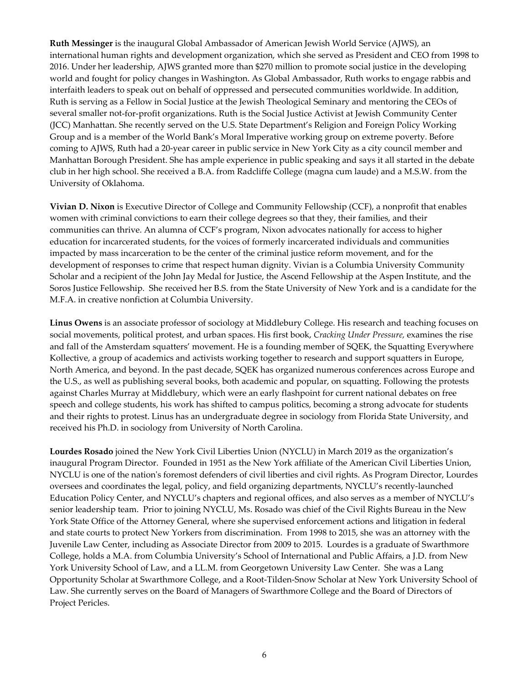**Ruth Messinger** is the inaugural Global Ambassador of American Jewish World Service (AJWS), an international human rights and development organization, which she served as President and CEO from 1998 to 2016. Under her leadership, AJWS granted more than \$270 million to promote social justice in the developing world and fought for policy changes in Washington. As Global Ambassador, Ruth works to engage rabbis and interfaith leaders to speak out on behalf of oppressed and persecuted communities worldwide. In addition, Ruth is serving as a Fellow in Social Justice at the Jewish Theological Seminary and mentoring the CEOs of several smaller not-for-profit organizations. Ruth is the Social Justice Activist at Jewish Community Center (JCC) Manhattan. She recently served on the U.S. State Department's Religion and Foreign Policy Working Group and is a member of the World Bank's Moral Imperative working group on extreme poverty. Before coming to AJWS, Ruth had a 20‐year career in public service in New York City as a city council member and Manhattan Borough President. She has ample experience in public speaking and says it all started in the debate club in her high school. She received a B.A. from Radcliffe College (magna cum laude) and a M.S.W. from the University of Oklahoma.

**Vivian D. Nixon** is Executive Director of College and Community Fellowship (CCF), a nonprofit that enables women with criminal convictions to earn their college degrees so that they, their families, and their communities can thrive. An alumna of CCF's program, Nixon advocates nationally for access to higher education for incarcerated students, for the voices of formerly incarcerated individuals and communities impacted by mass incarceration to be the center of the criminal justice reform movement, and for the development of responses to crime that respect human dignity. Vivian is a Columbia University Community Scholar and a recipient of the John Jay Medal for Justice, the Ascend Fellowship at the Aspen Institute, and the Soros Justice Fellowship. She received her B.S. from the State University of New York and is a candidate for the M.F.A. in creative nonfiction at Columbia University.

**Linus Owens** is an associate professor of sociology at Middlebury College. His research and teaching focuses on social movements, political protest, and urban spaces. His first book, *Cracking Under Pressure,* examines the rise and fall of the Amsterdam squatters' movement. He is a founding member of SQEK, the Squatting Everywhere Kollective, a group of academics and activists working together to research and support squatters in Europe, North America, and beyond. In the past decade, SQEK has organized numerous conferences across Europe and the U.S., as well as publishing several books, both academic and popular, on squatting. Following the protests against Charles Murray at Middlebury, which were an early flashpoint for current national debates on free speech and college students, his work has shifted to campus politics, becoming a strong advocate for students and their rights to protest. Linus has an undergraduate degree in sociology from Florida State University, and received his Ph.D. in sociology from University of North Carolina.

**Lourdes Rosado** joined the New York Civil Liberties Union (NYCLU) in March 2019 as the organization's inaugural Program Director. Founded in 1951 as the New York affiliate of the American Civil Liberties Union, NYCLU is one of the nationʹs foremost defenders of civil liberties and civil rights. As Program Director, Lourdes oversees and coordinates the legal, policy, and field organizing departments, NYCLU's recently‐launched Education Policy Center, and NYCLU's chapters and regional offices, and also serves as a member of NYCLU's senior leadership team. Prior to joining NYCLU, Ms. Rosado was chief of the Civil Rights Bureau in the New York State Office of the Attorney General, where she supervised enforcement actions and litigation in federal and state courts to protect New Yorkers from discrimination. From 1998 to 2015, she was an attorney with the Juvenile Law Center, including as Associate Director from 2009 to 2015. Lourdes is a graduate of Swarthmore College, holds a M.A. from Columbia University's School of International and Public Affairs, a J.D. from New York University School of Law, and a LL.M. from Georgetown University Law Center. She was a Lang Opportunity Scholar at Swarthmore College, and a Root‐Tilden‐Snow Scholar at New York University School of Law. She currently serves on the Board of Managers of Swarthmore College and the Board of Directors of Project Pericles.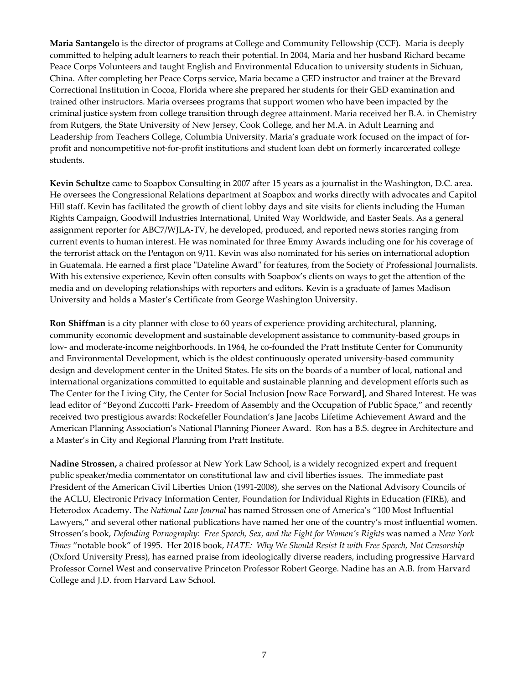**Maria Santangelo** is the director of programs at College and Community Fellowship (CCF). Maria is deeply committed to helping adult learners to reach their potential. In 2004, Maria and her husband Richard became Peace Corps Volunteers and taught English and Environmental Education to university students in Sichuan, China. After completing her Peace Corps service, Maria became a GED instructor and trainer at the Brevard Correctional Institution in Cocoa, Florida where she prepared her students for their GED examination and trained other instructors. Maria oversees programs that support women who have been impacted by the criminal justice system from college transition through degree attainment. Maria received her B.A. in Chemistry from Rutgers, the State University of New Jersey, Cook College, and her M.A. in Adult Learning and Leadership from Teachers College, Columbia University. Maria's graduate work focused on the impact of for‐ profit and noncompetitive not-for-profit institutions and student loan debt on formerly incarcerated college students.

**Kevin Schultze** came to Soapbox Consulting in 2007 after 15 years as a journalist in the Washington, D.C. area. He oversees the Congressional Relations department at Soapbox and works directly with advocates and Capitol Hill staff. Kevin has facilitated the growth of client lobby days and site visits for clients including the Human Rights Campaign, Goodwill Industries International, United Way Worldwide, and Easter Seals. As a general assignment reporter for ABC7/WJLA‐TV, he developed, produced, and reported news stories ranging from current events to human interest. He was nominated for three Emmy Awards including one for his coverage of the terrorist attack on the Pentagon on 9/11. Kevin was also nominated for his series on international adoption in Guatemala. He earned a first place "Dateline Award" for features, from the Society of Professional Journalists. With his extensive experience, Kevin often consults with Soapbox's clients on ways to get the attention of the media and on developing relationships with reporters and editors. Kevin is a graduate of James Madison University and holds a Master's Certificate from George Washington University.

**Ron Shiffman** is a city planner with close to 60 years of experience providing architectural, planning, community economic development and sustainable development assistance to community-based groups in low- and moderate-income neighborhoods. In 1964, he co-founded the Pratt Institute Center for Community and Environmental Development, which is the oldest continuously operated university-based community design and development center in the United States. He sits on the boards of a number of local, national and international organizations committed to equitable and sustainable planning and development efforts such as The Center for the Living City, the Center for Social Inclusion [now Race Forward], and Shared Interest. He was lead editor of "Beyond Zuccotti Park‐ Freedom of Assembly and the Occupation of Public Space," and recently received two prestigious awards: Rockefeller Foundation's Jane Jacobs Lifetime Achievement Award and the American Planning Association's National Planning Pioneer Award. Ron has a B.S. degree in Architecture and a Master's in City and Regional Planning from Pratt Institute.

**Nadine Strossen,** a chaired professor at New York Law School, is a widely recognized expert and frequent public speaker/media commentator on constitutional law and civil liberties issues. The immediate past President of the American Civil Liberties Union (1991‐2008), she serves on the National Advisory Councils of the ACLU, Electronic Privacy Information Center, Foundation for Individual Rights in Education (FIRE), and Heterodox Academy. The *National Law Journal* has named Strossen one of America's "100 Most Influential Lawyers," and several other national publications have named her one of the country's most influential women. Strossen's book, *Defending Pornography: Free Speech, Sex, and the Fight for Women's Rights* was named a *New York Times* "notable book" of 1995. Her 2018 book, *HATE: Why We Should Resist It with Free Speech, Not Censorship* (Oxford University Press), has earned praise from ideologically diverse readers, including progressive Harvard Professor Cornel West and conservative Princeton Professor Robert George. Nadine has an A.B. from Harvard College and J.D. from Harvard Law School.